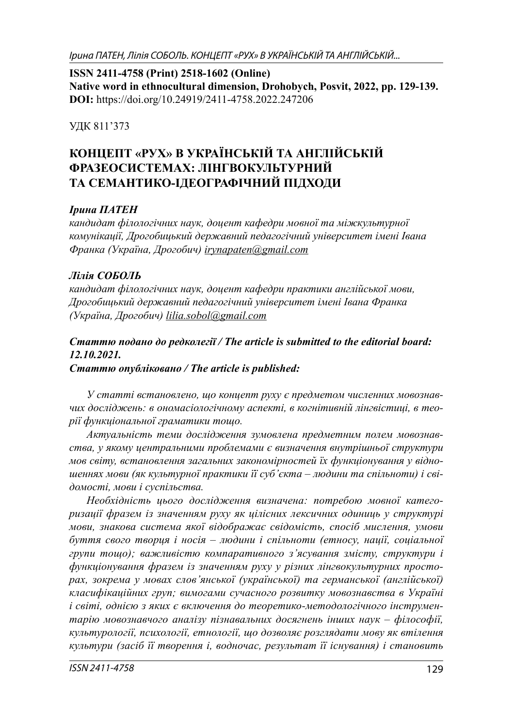Ірина ПАТЕН, Лілія СОБОЛЬ. КОНЦЕПТ «РУХ» В УКРАЇНСЬКІЙ ТА АНГЛІЙСЬКІЙ...

**ISSN 2411-4758 (Print) 2518-1602 (Online) Native word in ethnocultural dimension, Drohobych, Posvit, 2022, pp. 129-139. DOI:** https://doi.org/10.24919/2411-4758.2022.247206

УДК 811'373

# **КОНЦЕПТ «РУХ» В УКРАЇНСЬКІЙ ТА АНГЛІЙСЬКІЙ ФРАЗЕОСИСТЕМАХ: ЛІНГВОКУЛЬТУРНИЙ ТА СЕМАНТИКО-ІДЕОГРАФІЧНИЙ ПІДХОДИ**

### *Ірина ПАТЕН*

*кандидат філологічних наук, доцент кафедри мовної та міжкультурної комунікації, Дрогобицький державний педагогічний університет імені Івана Франка (Україна, Дрогобич) irynapaten@gmail.com*

### *Лілія СОБОЛЬ*

*кандидат філологічних наук, доцент кафедри практики англійської мови, Дрогобицький державний педагогічний університет імені Івана Франка (Україна, Дрогобич) lilia.sobol@gmail.com*

## *Статтю подано до редколегії / The article is submitted to the editorial board: 12.10.2021.*

*Статтю опубліковано / The article is published:*

*У статті встановлено, що концепт руху є предметом численних мовознавчих досліджень: в ономасіологічному аспекті, в когнітивній лінгвістиці, в теорії функціональної граматики тощо.*

*Актуальність теми дослідження зумовлена предметним полем мовознавства, у якому центральними проблемами є визначення внутрішньої структури мов світу, встановлення загальних закономірностей їх функціонування у відношеннях мови (як культурної практики її суб'єкта – людини та спільноти) і свідомості, мови і суспільства.* 

*Необхідність цього дослідження визначена: потребою мовної категоризації фразем із значенням руху як цілісних лексичних одиниць у структурі мови, знакова система якої відображає свідомість, спосіб мислення, умови буття свого творця і носія – людини і спільноти (етносу, нації, соціальної групи тощо); важливістю компаративного з'ясування змісту, структури і функціонування фразем із значенням руху у різних лінгвокультурних просторах, зокрема у мовах слов'янської (української) та германської (англійської) класифікаційних груп; вимогами сучасного розвитку мовознавства в Україні і світі, однією з яких є включення до теоретико-методологічного інструментарію мовознавчого аналізу пізнавальних досягнень інших наук – філософії, культурології, психології, етнології, що дозволяє розглядати мову як втілення культури (засіб її творення і, водночас, результат її існування) і становить*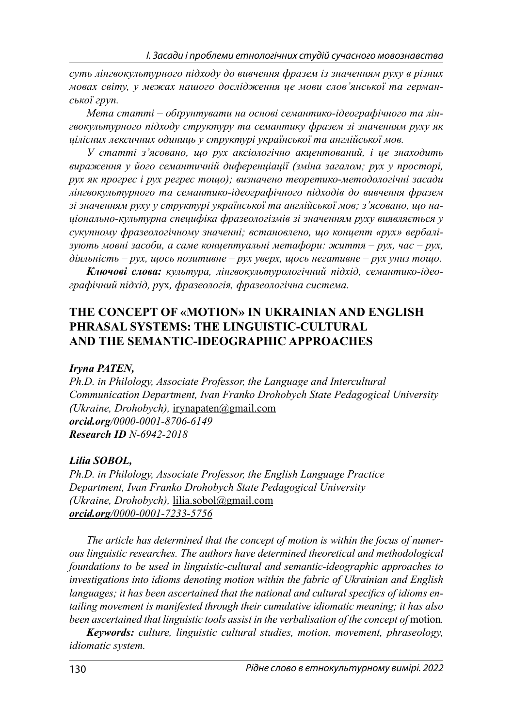*суть лінгвокультурного підходу до вивчення фразем із значенням руху в різних мовах світу, у межах нашого дослідження це мови слов'янської та германської груп.* 

*Мета статті – обґрунтувати на основі семантико-ідеографічного та лінгвокультурного підходу структуру та семантику фразем зі значенням руху як цілісних лексичних одиниць у структурі української та англійської мов.* 

*У статті з'ясовано, що рух аксіологічно акцентований, і це знаходить вираження у його семантичній диференціації (зміна загалом; рух у просторі, рух як прогрес і рух регрес тощо); визначено теоретико-методологічні засади лінгвокультурного та семантико-ідеографічного підходів до вивчення фразем зі значенням руху у структурі української та англійської мов; з'ясовано, що національно-культурна специфіка фразеологізмів зі значенням руху виявляється у сукупному фразеологічному значенні; встановлено, що концепт «рух» вербалізують мовні засоби, а саме концептуальні метафори: життя – рух, час – рух, діяльність – рух, щось позитивне – рух уверх, щось негативне – рух униз тощо.*

*Ключові слова: культура, лінгвокультурологічний підхід, семантико-ідеографічний підхід, р*ух*, фразеологія, фразеологічна система.*

## **THE CONCEPT OF «MOTION» IN UKRAINIAN AND ENGLISH PHRASAL SYSTEMS: THE LINGUISTIC-CULTURAL AND THE SEMANTIC-IDEOGRAPHIC APPROACHES**

#### *Іryna PATEN,*

*Ph.D. in Philology, Associate Professor, the Language and Intercultural Communication Department, Ivan Franko Drohobych State Pedagogical University (Ukraine, Drohobych),* irynapaten@gmail.com *orcid.org/0000-0001-8706-6149 Research ID N-6942-2018*

#### *Lilia SOBOL,*

*Ph.D. in Philology, Associate Professor, the English Language Practice Department, Ivan Franko Drohobych State Pedagogical University (Ukraine, Drohobych),* lilia.sobol@gmail.com *orcid.org/0000-0001-7233-5756*

*The article has determined that the concept of motion is within the focus of numerous linguistic researches. The authors have determined theoretical and methodological foundations to be used in linguistic-cultural and semantic-ideographic approaches to investigations into idioms denoting motion within the fabric of Ukrainian and English*  languages; it has been ascertained that the national and cultural specifics of idioms en*tailing movement is manifested through their cumulative idiomatic meaning; it has also been ascertained that linguistic tools assist in the verbalisation of the concept of* motion*.*

*Keywords: culture, linguistic cultural studies, motion, movement, phraseology, idiomatic system.*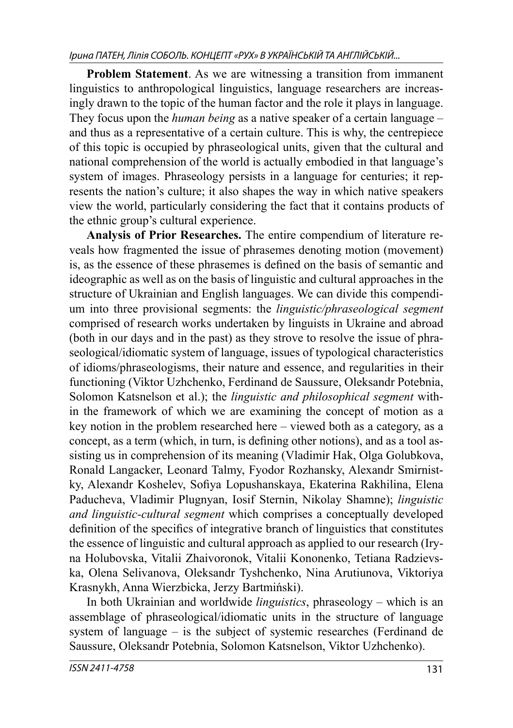**Problem Statement**. As we are witnessing a transition from immanent linguistics to anthropological linguistics, language researchers are increasingly drawn to the topic of the human factor and the role it plays in language. They focus upon the *human being* as a native speaker of a certain language – and thus as a representative of a certain culture. This is why, the centrepiece of this topic is occupied by phraseological units, given that the cultural and national comprehension of the world is actually embodied in that language's system of images. Phraseology persists in a language for centuries; it represents the nation's culture; it also shapes the way in which native speakers view the world, particularly considering the fact that it contains products of the ethnic group's cultural experience.

**Analysis of Prior Researches.** The entire compendium of literature reveals how fragmented the issue of phrasemes denoting motion (movement) is, as the essence of these phrasemes is defined on the basis of semantic and ideographic as well as on the basis of linguistic and cultural approaches in the structure of Ukrainian and English languages. We can divide this compendium into three provisional segments: the *linguistic/phraseological segment* comprised of research works undertaken by linguists in Ukraine and abroad (both in our days and in the past) as they strove to resolve the issue of phraseological/idiomatic system of language, issues of typological characteristics of idioms/phraseologisms, their nature and essence, and regularities in their functioning (Viktor Uzhchenko, Ferdinand de Saussure, Oleksandr Potebnia, Solomon Katsnelson et al.); the *linguistic and philosophical segment* within the framework of which we are examining the concept of motion as a key notion in the problem researched here – viewed both as a category, as a concept, as a term (which, in turn, is defining other notions), and as a tool assisting us in comprehension of its meaning (Vladimir Hak, Olga Golubkova, Ronald Langacker, Leonard Talmy, Fyodor Rozhansky, Alexandr Smirnistky, Alexandr Koshelev, Sofiya Lopushanskaya, Ekaterina Rakhilina, Elena Paducheva, Vladimir Plugnyan, Iosif Sternin, Nikolay Shamne); *linguistic and linguistic-cultural segment* which comprises a conceptually developed definition of the specifics of integrative branch of linguistics that constitutes the essence of linguistic and cultural approach as applied to our research (Iryna Holubovska, Vitalii Zhaivoronok, Vitalii Kononenko, Tetiana Radzievska, Olena Selivanova, Oleksandr Tyshchenko, Nina Arutiunova, Viktoriya Krasnykh, Anna Wierzbicka, Jerzy Bartmiński).

In both Ukrainian and worldwide *linguistics*, phraseology – which is an assemblage of phraseological/idiomatic units in the structure of language system of language – is the subject of systemic researches (Ferdinand de Saussure, Oleksandr Potebnia, Solomon Katsnelson, Viktor Uzhchenko).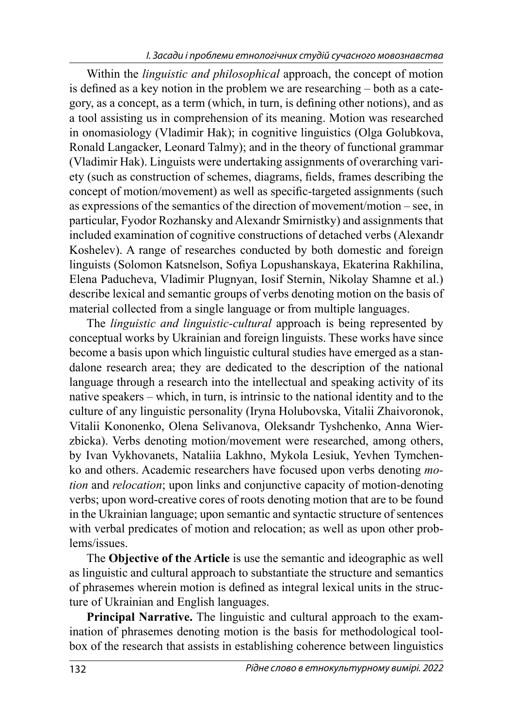Within the *linguistic and philosophical* approach, the concept of motion is defined as a key notion in the problem we are researching  $-$  both as a category, as a concept, as a term (which, in turn, is defining other notions), and as a tool assisting us in comprehension of its meaning. Motion was researched in onomasiology (Vladimir Hak); in cognitive linguistics (Olga Golubkova, Ronald Langacker, Leonard Talmy); and in the theory of functional grammar (Vladimir Hak). Linguists were undertaking assignments of overarching variety (such as construction of schemes, diagrams, fields, frames describing the concept of motion/movement) as well as specific-targeted assignments (such as expressions of the semantics of the direction of movement/motion – see, in particular, Fyodor Rozhansky and Alexandr Smirnistky) and assignments that included examination of cognitive constructions of detached verbs (Alexandr Koshelev). A range of researches conducted by both domestic and foreign linguists (Solomon Katsnelson, Sofiya Lopushanskaya, Ekaterina Rakhilina, Elena Paducheva, Vladimir Plugnyan, Iosif Sternin, Nikolay Shamne et al.) describe lexical and semantic groups of verbs denoting motion on the basis of material collected from a single language or from multiple languages.

The *linguistic and linguistic-cultural* approach is being represented by conceptual works by Ukrainian and foreign linguists. These works have since become a basis upon which linguistic cultural studies have emerged as a standalone research area; they are dedicated to the description of the national language through a research into the intellectual and speaking activity of its native speakers – which, in turn, is intrinsic to the national identity and to the culture of any linguistic personality (Iryna Holubovska, Vitalii Zhaivoronok, Vitalii Kononenko, Olena Selivanova, Oleksandr Tyshchenko, Anna Wierzbicka). Verbs denoting motion/movement were researched, among others, by Ivan Vykhovanets, Nataliia Lakhno, Mykola Lesiuk, Yevhen Tymchenko and others. Academic researchers have focused upon verbs denoting *motion* and *relocation*; upon links and conjunctive capacity of motion-denoting verbs; upon word-creative cores of roots denoting motion that are to be found in the Ukrainian language; upon semantic and syntactic structure of sentences with verbal predicates of motion and relocation; as well as upon other problems/issues.

The **Objective of the Article** is use the semantic and ideographic as well as linguistic and cultural approach to substantiate the structure and semantics of phrasemes wherein motion is defined as integral lexical units in the structure of Ukrainian and English languages.

**Principal Narrative.** The linguistic and cultural approach to the examination of phrasemes denoting motion is the basis for methodological toolbox of the research that assists in establishing coherence between linguistics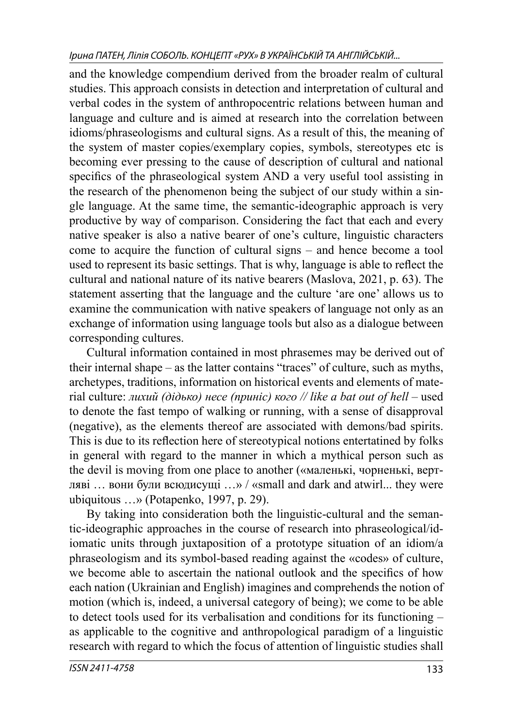Ірина ПАТЕН, Лілія СОБОЛЬ. КОНЦЕПТ «РУХ» В УКРАЇНСЬКІЙ ТА АНГЛІЙСЬКІЙ...

and the knowledge compendium derived from the broader realm of cultural studies. This approach consists in detection and interpretation of cultural and verbal codes in the system of anthropocentric relations between human and language and culture and is aimed at research into the correlation between idioms/phraseologisms and cultural signs. As a result of this, the meaning of the system of master copies/exemplary copies, symbols, stereotypes etc is becoming ever pressing to the cause of description of cultural and national specifics of the phraseological system AND a very useful tool assisting in the research of the phenomenon being the subject of our study within a single language. At the same time, the semantic-ideographic approach is very productive by way of comparison. Considering the fact that each and every native speaker is also a native bearer of one's culture, linguistic characters come to acquire the function of cultural signs – and hence become a tool used to represent its basic settings. That is why, language is able to reflect the cultural and national nature of its native bearers (Maslova, 2021, p. 63). The statement asserting that the language and the culture 'are one' allows us to examine the communication with native speakers of language not only as an exchange of information using language tools but also as a dialogue between corresponding cultures.

Cultural information contained in most phrasemes may be derived out of their internal shape – as the latter contains "traces" of culture, such as myths, archetypes, traditions, information on historical events and elements of material culture: *лихий (дідько) несе (приніс) кого // like a bat out of hell –* used to denote the fast tempo of walking or running, with a sense of disapproval (negative), as the elements thereof are associated with demons/bad spirits. This is due to its reflection here of stereotypical notions entertatined by folks in general with regard to the manner in which a mythical person such as the devil is moving from one place to another («маленькі, чорненькі, вертляві … вони були всюдисущі …» / «small and dark and atwirl... they were ubiquitous …» (Potapenko, 1997, p. 29).

By taking into consideration both the linguistic-cultural and the semantic-ideographic approaches in the course of research into phraseological/idiomatic units through juxtaposition of a prototype situation of an idiom/a phraseologism and its symbol-based reading against the «codes» of culture, we become able to ascertain the national outlook and the specifics of how each nation (Ukrainian and English) imagines and comprehends the notion of motion (which is, indeed, a universal category of being); we come to be able to detect tools used for its verbalisation and conditions for its functioning – as applicable to the cognitive and anthropological paradigm of a linguistic research with regard to which the focus of attention of linguistic studies shall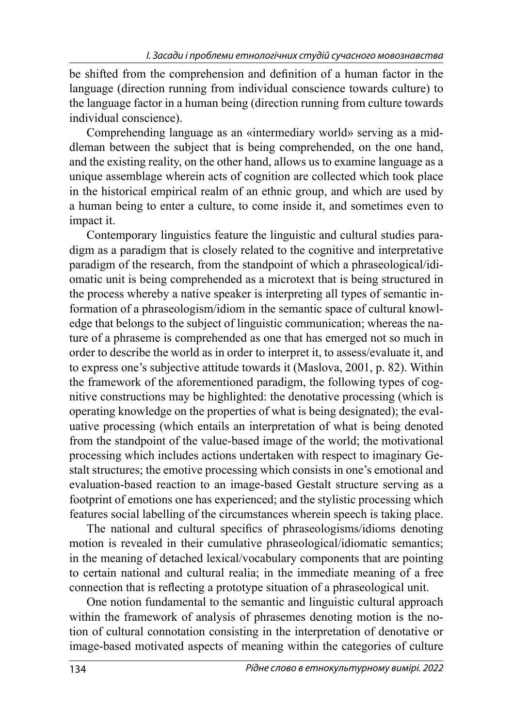be shifted from the comprehension and definition of a human factor in the language (direction running from individual conscience towards culture) to the language factor in a human being (direction running from culture towards individual conscience).

Comprehending language as an «intermediary world» serving as a middleman between the subject that is being comprehended, on the one hand, and the existing reality, on the other hand, allows us to examine language as a unique assemblage wherein acts of cognition are collected which took place in the historical empirical realm of an ethnic group, and which are used by a human being to enter a culture, to come inside it, and sometimes even to impact it.

Contemporary linguistics feature the linguistic and cultural studies paradigm as a paradigm that is closely related to the cognitive and interpretative paradigm of the research, from the standpoint of which a phraseological/idiomatic unit is being comprehended as a microtext that is being structured in the process whereby a native speaker is interpreting all types of semantic information of a phraseologism/idiom in the semantic space of cultural knowledge that belongs to the subject of linguistic communication; whereas the nature of a phraseme is comprehended as one that has emerged not so much in order to describe the world as in order to interpret it, to assess/evaluate it, and to express one's subjective attitude towards it (Maslova, 2001, p. 82). Within the framework of the aforementioned paradigm, the following types of cognitive constructions may be highlighted: the denotative processing (which is operating knowledge on the properties of what is being designated); the evaluative processing (which entails an interpretation of what is being denoted from the standpoint of the value-based image of the world; the motivational processing which includes actions undertaken with respect to imaginary Gestalt structures; the emotive processing which consists in one's emotional and evaluation-based reaction to an image-based Gestalt structure serving as a footprint of emotions one has experienced; and the stylistic processing which features social labelling of the circumstances wherein speech is taking place.

The national and cultural specifics of phraseologisms/idioms denoting motion is revealed in their cumulative phraseological/idiomatic semantics; in the meaning of detached lexical/vocabulary components that are pointing to certain national and cultural realia; in the immediate meaning of a free connection that is reflecting a prototype situation of a phraseological unit.

One notion fundamental to the semantic and linguistic cultural approach within the framework of analysis of phrasemes denoting motion is the notion of cultural connotation consisting in the interpretation of denotative or image-based motivated aspects of meaning within the categories of culture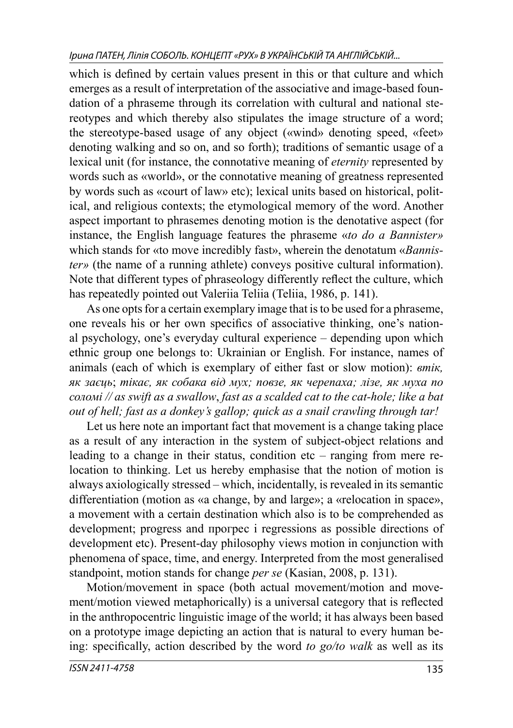which is defined by certain values present in this or that culture and which emerges as a result of interpretation of the associative and image-based foundation of a phraseme through its correlation with cultural and national stereotypes and which thereby also stipulates the image structure of a word; the stereotype-based usage of any object («wind» denoting speed, «feet» denoting walking and so on, and so forth); traditions of semantic usage of a lexical unit (for instance, the connotative meaning of *eternity* represented by words such as «world», or the connotative meaning of greatness represented by words such as «court of law» etc); lexical units based on historical, political, and religious contexts; the etymological memory of the word. Another aspect important to phrasemes denoting motion is the denotative aspect (for instance, the English language features the phraseme «*to do a Bannister»* which stands for «to move incredibly fast», wherein the denotatum «*Bannister»* (the name of a running athlete) conveys positive cultural information). Note that different types of phraseology differently reflect the culture, which has repeatedly pointed out Valeriia Teliia (Teliia, 1986, p. 141).

As one opts for a certain exemplary image that is to be used for a phraseme, one reveals his or her own specifics of associative thinking, one's national psychology, one's everyday cultural experience – depending upon which ethnic group one belongs to: Ukrainian or English. For instance, names of animals (each of which is exemplary of either fast or slow motion): *втік, як заєць*; *тікає, як собака від мух; повзе, як черепаха; лізе, як муха по соломі // as swift as a swallow*, *fast as a scalded cat to the cat-hole; like a bat out of hell; fast as a donkey's gallop; quick as a snail crawling through tar!*

Let us here note an important fact that movement is a change taking place as a result of any interaction in the system of subject-object relations and leading to a change in their status, condition etc – ranging from mere relocation to thinking. Let us hereby emphasise that the notion of motion is always axiologically stressed – which, incidentally, is revealed in its semantic differentiation (motion as «a change, by and large»; a «relocation in space», a movement with a certain destination which also is to be comprehended as development; progress and прогрес і regressions as possible directions of development etc). Present-day philosophy views motion in conjunction with phenomena of space, time, and energy. Interpreted from the most generalised standpoint, motion stands for change *per se* (Kasian, 2008, p. 131).

Motion/movement in space (both actual movement/motion and movement/motion viewed metaphorically) is a universal category that is reflected in the anthropocentric linguistic image of the world; it has always been based on a prototype image depicting an action that is natural to every human being: specifically, action described by the word *to go/to walk* as well as its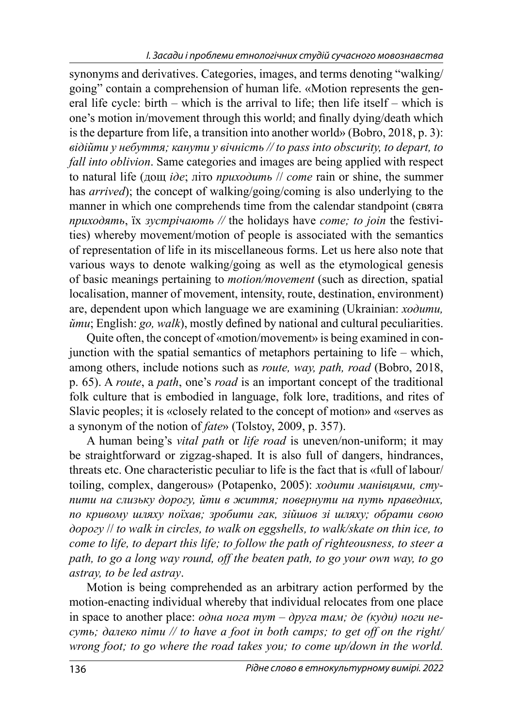synonyms and derivatives. Categories, images, and terms denoting "walking/ going" contain a comprehension of human life. «Motion represents the general life cycle: birth – which is the arrival to life; then life itself – which is one's motion in/movement through this world; and finally dying/death which is the departure from life, a transition into another world» (Bobro, 2018, p. 3): *відійти у небуття; канути у вічність // to pass into obscurity, to depart, to fall into oblivion*. Same categories and images are being applied with respect to natural life (дощ *іде*; літо *приходить* // *come* rain or shine, the summer has *arrived*); the concept of walking/going/coming is also underlying to the manner in which one comprehends time from the calendar standpoint (свята *приходять*, їх *зустрічають //* the holidays have *come; to join* the festivities) whereby movement/motion of people is associated with the semantics of representation of life in its miscellaneous forms. Let us here also note that various ways to denote walking/going as well as the etymological genesis of basic meanings pertaining to *motion/movement* (such as direction, spatial localisation, manner of movement, intensity, route, destination, environment) are, dependent upon which language we are examining (Ukrainian: *ходити, йти*; English: *go, walk*), mostly defined by national and cultural peculiarities.

Quite often, the concept of «motion/movement» is being examined in conjunction with the spatial semantics of metaphors pertaining to life – which, among others, include notions such as *route, way, path, road* (Bobro, 2018, р. 65). A *route*, a *path*, one's *road* is an important concept of the traditional folk culture that is embodied in language, folk lore, traditions, and rites of Slavic peoples; it is «closely related to the concept of motion» and «serves as a synonym of the notion of *fate*» (Tolstoy, 2009, р. 357).

A human being's *vital path* or *life road* is uneven/non-uniform; it may be straightforward or zigzag-shaped. It is also full of dangers, hindrances, threats etc. One characteristic peculiar to life is the fact that is «full of labour/ toiling, complex, dangerous» (Potapenko, 2005): *ходити манівцями, ступити на слизьку дорогу, йти в життя; повернути на путь праведних, по кривому шляху поїхав; зробити гак, зійшов зі шляху; обрати свою дорогу* // *to walk in circles, to walk on eggshells, to walk/skate on thin ice, to come to life, to depart this life; to follow the path of righteousness, to steer a path, to go a long way round, off the beaten path, to go your own way, to go astray, to be led astray*.

Motion is being comprehended as an arbitrary action performed by the motion-enacting individual whereby that individual relocates from one place in space to another place: *одна нога тут – друга там; де (куди) ноги несуть; далеко піти // to have a foot in both camps; to get off on the right/ wrong foot; to go where the road takes you; to come up/down in the world.*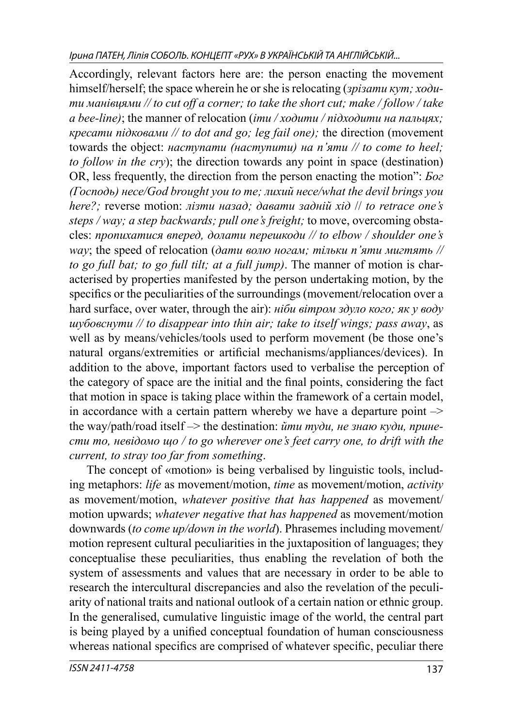Accordingly, relevant factors here are: the person enacting the movement himself/herself; the space wherein he or she is relocating (*зрізати кут; ходити манівцями // to cut off a corner; to take the short cut; make / follow / take a bee-line)*; the manner of relocation (*іти / ходити / підходити на пальцях; кресати підковами // to dot and go; leg fail one);* the direction (movement towards the object: *наступати (наступити) на п'яти // to come to heel; to follow in the cry*); the direction towards any point in space (destination) OR, less frequently, the direction from the person enacting the motion": *Бог (Господь) несе/God brought you to me; лихий несе/what the devil brings you here?;* reverse motion: *лізти назад; давати задній хід* // *to retrace one's steps / way; a step backwards; pull one's freight;* to move, overcoming obstacles: *пропихатися вперед, долати перешкоди // to elbow / shoulder one's way*; the speed of relocation (*дати волю ногам; тільки п'яти мигтять // to go full bat; to go full tilt; at a full jump)*. The manner of motion is characterised by properties manifested by the person undertaking motion, by the specifics or the peculiarities of the surroundings (movement/relocation over a hard surface, over water, through the air): *ніби вітром здуло кого; як у воду шубовснути // to disappear into thin air; take to itself wings; pass away*, as well as by means/vehicles/tools used to perform movement (be those one's natural organs/extremities or artificial mechanisms/appliances/devices). In addition to the above, important factors used to verbalise the perception of the category of space are the initial and the final points, considering the fact that motion in space is taking place within the framework of a certain model, in accordance with a certain pattern whereby we have a departure point  $\rightarrow$ the way/path/road itself –> the destination: *йти туди, не знаю куди, принести то, невідомо що / to go wherever one's feet carry one, to drift with the current, to stray too far from something*.

The concept of «motion» is being verbalised by linguistic tools, including metaphors: *life* as movement/motion, *time* as movement/motion, *activity* as movement/motion, *whatever positive that has happened* as movement/ motion upwards; *whatever negative that has happened* as movement/motion downwards (*to come up/down in the world*). Phrasemes including movement/ motion represent cultural peculiarities in the juxtaposition of languages; they conceptualise these peculiarities, thus enabling the revelation of both the system of assessments and values that are necessary in order to be able to research the intercultural discrepancies and also the revelation of the peculiarity of national traits and national outlook of a certain nation or ethnic group. In the generalised, cumulative linguistic image of the world, the central part is being played by a unified conceptual foundation of human consciousness whereas national specifics are comprised of whatever specific, peculiar there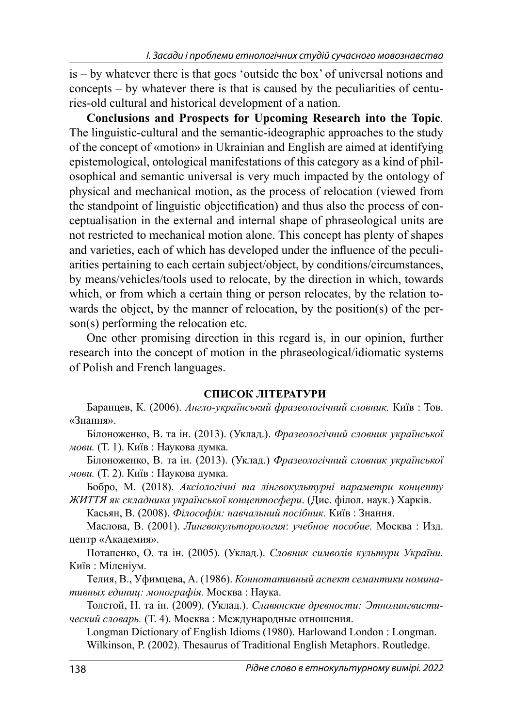is – by whatever there is that goes 'outside the box' of universal notions and concepts – by whatever there is that is caused by the peculiarities of centuries-old cultural and historical development of a nation.

**Conclusions and Prospects for Upcoming Research into the Topic**. The linguistic-cultural and the semantic-ideographic approaches to the study of the concept of «motion» in Ukrainian and English are aimed at identifying epistemological, ontological manifestations of this category as a kind of philosophical and semantic universal is very much impacted by the ontology of physical and mechanical motion, as the process of relocation (viewed from the standpoint of linguistic objectification) and thus also the process of conceptualisation in the external and internal shape of phraseological units are not restricted to mechanical motion alone. This concept has plenty of shapes and varieties, each of which has developed under the influence of the peculiarities pertaining to each certain subject/object, by conditions/circumstances, by means/vehicles/tools used to relocate, by the direction in which, towards which, or from which a certain thing or person relocates, by the relation towards the object, by the manner of relocation, by the position(s) of the person(s) performing the relocation etc.

One other promising direction in this regard is, in our opinion, further research into the concept of motion in the phraseological/idiomatic systems of Polish and French languages.

#### **СПИСОК ЛІТЕРАТУРИ**

Баранцев, К. (2006). *Англо-український фразеологічний словник.* Київ : Тов. «Знання».

Білоноженко, В. та ін. (2013). (Уклад.). *Фразеологічний словник української мови.* (Т. 1). Київ : Наукова думка.

Білоноженко, В. та ін. (2013). (Уклад.) *Фразеологічний словник української мови.* (Т. 2). Київ : Наукова думка.

Бобро, М. (2018). *Аксіологічні та лінгвокультурні параметри концепту ЖИТТЯ як складника української концептосфери*. (Дис. філол. наук.) Харків.

Касьян, В. (2008). *Філософія: навчальний посібник.* Київ : Знання.

Маслова, В. (2001). *Лингвокульторология*: *учебное пособие.* Москва : Изд. центр «Академия».

Потапенко, О. та ін. (2005). (Уклад.). *Словник символів культури України.*  Київ : Міленіум.

Телия, В., Уфимцева, А. (1986). *Коннотативный аспект семантики номинативных единиц: монографія.* Москва : Наука.

Толстой, Н. та ін. (2009). (Уклад.). *Славянские древности: Этнолингвистический словарь.* (Т. 4). Москва : Международные отношения.

Longman Dictionary of English Idioms (1980). Harlowand London : Longman. Wilkinson, P. (2002). Thesaurus of Traditional English Metaphors. Routledge.